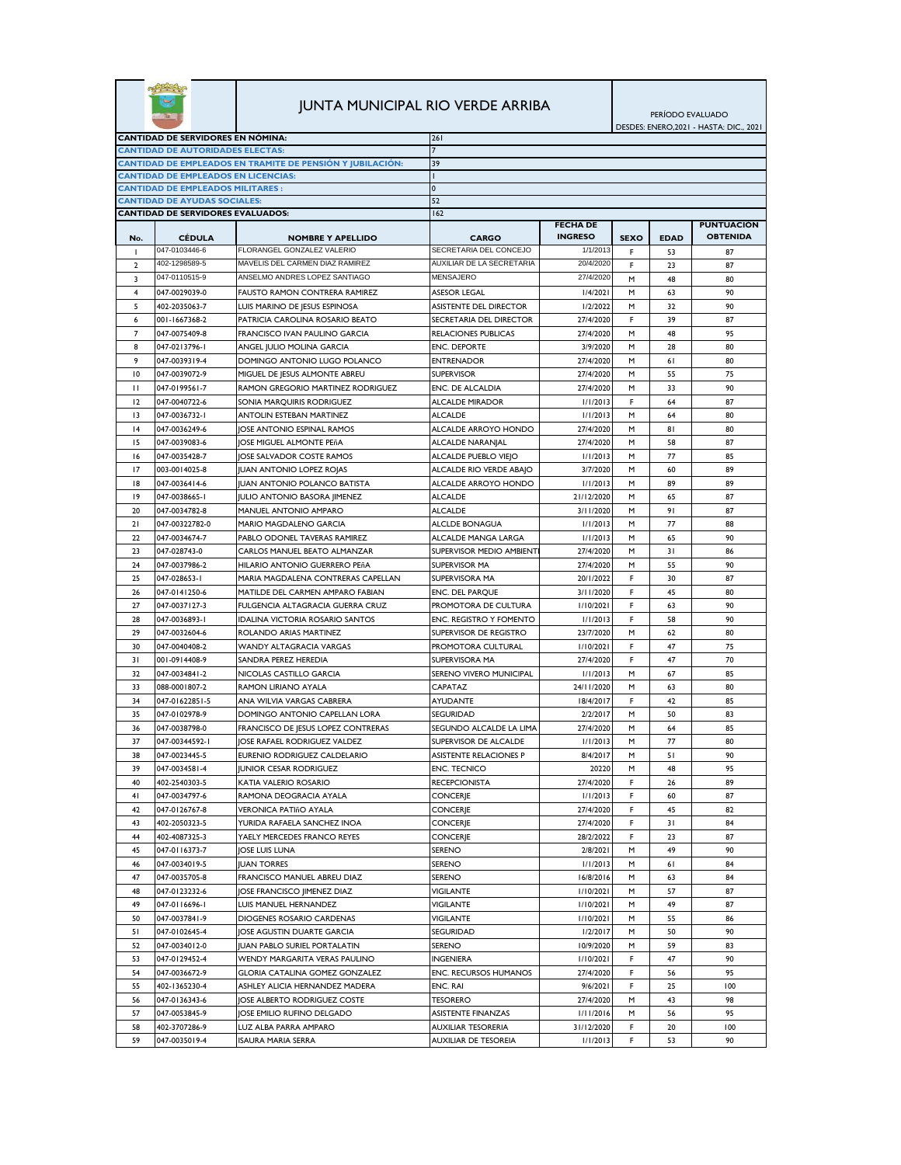|                                                                                 |                                            |                                                            | <b>JUNTA MUNICIPAL RIO VERDE ARRIBA</b> |                       | PERÍODO EVALUADO<br>DESDES: ENERO, 2021 - HASTA: DIC., 2021 |             |                   |  |
|---------------------------------------------------------------------------------|--------------------------------------------|------------------------------------------------------------|-----------------------------------------|-----------------------|-------------------------------------------------------------|-------------|-------------------|--|
| <b>CANTIDAD DE SERVIDORES EN NÓMINA:</b>                                        |                                            |                                                            | 261                                     |                       |                                                             |             |                   |  |
| <b>CANTIDAD DE AUTORIDADES ELECTAS:</b>                                         |                                            |                                                            |                                         |                       |                                                             |             |                   |  |
| CANTIDAD DE EMPLEADOS EN TRAMITE DE PENSIÓN Y JUBILACIÓN:                       |                                            |                                                            | 39                                      |                       |                                                             |             |                   |  |
|                                                                                 | <b>CANTIDAD DE EMPLEADOS EN LICENCIAS:</b> |                                                            |                                         |                       |                                                             |             |                   |  |
|                                                                                 | <b>CANTIDAD DE EMPLEADOS MILITARES:</b>    |                                                            | $\mathbf{0}$                            |                       |                                                             |             |                   |  |
| <b>CANTIDAD DE AYUDAS SOCIALES:</b><br><b>CANTIDAD DE SERVIDORES EVALUADOS:</b> |                                            | 52<br>162                                                  |                                         |                       |                                                             |             |                   |  |
|                                                                                 |                                            |                                                            |                                         | <b>FECHA DE</b>       |                                                             |             | <b>PUNTUACIÓN</b> |  |
| No.                                                                             | <b>CÉDULA</b>                              | <b>NOMBRE Y APELLIDO</b>                                   | <b>CARGO</b>                            | <b>INGRESO</b>        | <b>SEXO</b>                                                 | <b>EDAD</b> | <b>OBTENIDA</b>   |  |
| -1                                                                              | 047-0103446-6                              | FLORANGEL GONZALEZ VALERIO                                 | SECRETARIA DEL CONCEJO                  | 1/1/2013              | F                                                           | 53          | 87                |  |
| $\overline{2}$                                                                  | 402-1298589-5                              | MAVELIS DEL CARMEN DIAZ RAMIREZ                            | AUXILIAR DE LA SECRETARIA               | 20/4/2020             | F                                                           | 23          | 87                |  |
| 3                                                                               | 047-0110515-9                              | ANSELMO ANDRES LOPEZ SANTIAGO                              | MENSAJERO                               | 27/4/2020             | M                                                           | 48          | 80                |  |
| $\overline{4}$                                                                  | 047-0029039-0                              | <b>FAUSTO RAMON CONTRERA RAMIREZ</b>                       | <b>ASESOR LEGAL</b>                     | 1/4/2021              | м                                                           | 63          | 90                |  |
| 5                                                                               | 402-2035063-7                              | LUIS MARINO DE JESUS ESPINOSA                              | ASISTENTE DEL DIRECTOR                  | 1/2/2022              | M                                                           | 32          | 90                |  |
| 6                                                                               | 001-1667368-2                              | PATRICIA CAROLINA ROSARIO BEATO                            | SECRETARIA DEL DIRECTOR                 | 27/4/2020             | F                                                           | 39          | 87                |  |
| 7                                                                               | 047-0075409-8                              | FRANCISCO IVAN PAULINO GARCIA                              | <b>RELACIONES PUBLICAS</b>              | 27/4/2020             | M                                                           | 48          | 95                |  |
| 8                                                                               | 047-0213796-1                              | ANGEL JULIO MOLINA GARCIA                                  | <b>ENC. DEPORTE</b>                     | 3/9/2020              | м                                                           | 28          | 80                |  |
| 9                                                                               | 047-0039319-4                              | DOMINGO ANTONIO LUGO POLANCO                               | <b>ENTRENADOR</b>                       | 27/4/2020             | м                                                           | 61          | 80                |  |
| $\overline{10}$                                                                 | 047-0039072-9                              | MIGUEL DE JESUS ALMONTE ABREU                              | <b>SUPERVISOR</b>                       | 27/4/2020             | м                                                           | 55          | 75                |  |
| $\mathbf{H}$                                                                    | 047-0199561-7                              | RAMON GREGORIO MARTINEZ RODRIGUEZ                          | <b>ENC. DE ALCALDIA</b>                 | 27/4/2020             | м                                                           | 33          | 90                |  |
| 12                                                                              | 047-0040722-6                              | SONIA MARQUIRIS RODRIGUEZ                                  | <b>ALCALDE MIRADOR</b>                  | 1/1/2013              | F                                                           | 64          | 87                |  |
| $\overline{13}$                                                                 | 047-0036732-1                              | ANTOLIN ESTEBAN MARTINEZ                                   | <b>ALCALDE</b>                          | 1/1/2013              | M                                                           | 64          | 80                |  |
| 4                                                                               | 047-0036249-6                              | <b>JOSE ANTONIO ESPINAL RAMOS</b>                          | ALCALDE ARROYO HONDO                    | 27/4/2020             | M                                                           | 81          | 80                |  |
| 15                                                                              | 047-0039083-6                              | JOSE MIGUEL ALMONTE PEñA                                   | ALCALDE NARANJAL                        | 27/4/2020             | М                                                           | 58          | 87                |  |
| 16                                                                              | 047-0035428-7                              | JOSE SALVADOR COSTE RAMOS                                  | ALCALDE PUEBLO VIEJO                    | 1/1/2013              | м                                                           | 77          | 85                |  |
| 17                                                                              | 003-0014025-8                              | <b>JUAN ANTONIO LOPEZ ROJAS</b>                            | ALCALDE RIO VERDE ABAJO                 | 3/7/2020              | M                                                           | 60          | 89                |  |
| 18                                                                              | 047-0036414-6                              | <b>IUAN ANTONIO POLANCO BATISTA</b>                        | ALCALDE ARROYO HONDO                    | 1/1/2013              | M                                                           | 89          | 89                |  |
| 9                                                                               | 047-0038665-1                              | JULIO ANTONIO BASORA JIMENEZ                               | ALCALDE                                 | 21/12/2020            | M                                                           | 65          | 87                |  |
| 20                                                                              | 047-0034782-8                              | MANUEL ANTONIO AMPARO                                      | <b>ALCALDE</b>                          | 3/11/2020             | M                                                           | 91          | 87                |  |
| 21                                                                              | 047-00322782-0                             | <b>MARIO MAGDALENO GARCIA</b>                              | ALCLDE BONAGUA                          | 1/1/2013              | м                                                           | 77          | 88                |  |
| 22                                                                              | 047-0034674-7                              | PABLO ODONEL TAVERAS RAMIREZ                               | <b>ALCALDE MANGA LARGA</b>              | 1/1/2013              | м                                                           | 65          | 90                |  |
| 23                                                                              | 047-028743-0                               | CARLOS MANUEL BEATO ALMANZAR                               | SUPERVISOR MEDIO AMBIENT                | 27/4/2020             | м                                                           | 31          | 86                |  |
| 24                                                                              | 047-0037986-2                              | HILARIO ANTONIO GUERRERO PEñA                              | SUPERVISOR MA                           | 27/4/2020             | м                                                           | 55          | 90                |  |
| 25                                                                              | 047-028653-1                               | MARIA MAGDALENA CONTRERAS CAPELLAN                         | SUPERVISORA MA                          | 20/1/2022             | F                                                           | 30          | 87                |  |
| 26                                                                              | 047-0141250-6                              | MATILDE DEL CARMEN AMPARO FABIAN                           | ENC. DEL PARQUE                         | 3/11/2020             | F                                                           | 45          | 80                |  |
| 27                                                                              | 047-0037127-3                              | FULGENCIA ALTAGRACIA GUERRA CRUZ                           | PROMOTORA DE CULTURA                    | 1/10/2021             | F                                                           | 63          | 90                |  |
| 28                                                                              | 047-0036893-1                              | <b>IDALINA VICTORIA ROSARIO SANTOS</b>                     | ENC. REGISTRO Y FOMENTO                 | 1/1/2013              | F                                                           | 58          | 90                |  |
| 29                                                                              | 047-0032604-6                              | ROLANDO ARIAS MARTINEZ                                     | SUPERVISOR DE REGISTRO                  | 23/7/2020             | M                                                           | 62          | 80                |  |
| 30                                                                              | 047-0040408-2                              | <b>WANDY ALTAGRACIA VARGAS</b>                             | PROMOTORA CULTURAL                      | 1/10/2021             | F                                                           | 47          | 75                |  |
| 31                                                                              | 001-0914408-9                              | SANDRA PEREZ HEREDIA                                       | SUPERVISORA MA                          | 27/4/2020             | F                                                           | 47          | 70                |  |
| 32                                                                              | 047-0034841-2                              | NICOLAS CASTILLO GARCIA<br><b>RAMON LIRIANO AYALA</b>      | SERENO VIVERO MUNICIPAL                 | 1/1/2013              | M                                                           | 67          | 85                |  |
| 33                                                                              | 088-0001807-2                              |                                                            | CAPATAZ                                 | 24/11/2020            | м                                                           | 63          | 80                |  |
| 34<br>35                                                                        | 047-01622851-5<br>047-0102978-9            | ANA WILVIA VARGAS CABRERA<br>DOMINGO ANTONIO CAPELLAN LORA | <b>AYUDANTE</b><br><b>SEGURIDAD</b>     | 18/4/2017<br>2/2/2017 | F<br>M                                                      | 42<br>50    | 85<br>83          |  |
| 36                                                                              | 047-0038798-0                              | FRANCISCO DE JESUS LOPEZ CONTRERAS                         | SEGUNDO ALCALDE LA LIMA                 | 27/4/2020             | м                                                           | 64          | 85                |  |
| 37                                                                              | 047-00344592-1                             | JOSE RAFAEL RODRIGUEZ VALDEZ                               | SUPERVISOR DE ALCALDE                   | 1/1/2013              | м                                                           | 77          | 80                |  |
| 38                                                                              | 047-0023445-5                              | EURENIO RODRIGUEZ CALDELARIO                               | <b>ASISTENTE RELACIONES P</b>           | 8/4/2017              | м                                                           | 51          | 90                |  |
| 39                                                                              | 047-0034581-4                              | <b>JUNIOR CESAR RODRIGUEZ</b>                              | <b>ENC. TECNICO</b>                     | 20220                 | м                                                           | 48          | 95                |  |
| 40                                                                              | 402-2540303-5                              | KATIA VALERIO ROSARIO                                      | <b>RECEPCIONISTA</b>                    | 27/4/2020             | F                                                           | 26          | 89                |  |
| 41                                                                              | 047-0034797-6                              | RAMONA DEOGRACIA AYALA                                     | <b>CONCERJE</b>                         | 1/1/2013              | F.                                                          | 60          | 87                |  |
| 42                                                                              | 047-0126767-8                              | <b>VERONICA PATIñO AYALA</b>                               | <b>CONCERJE</b>                         | 27/4/2020             | F                                                           | 45          | 82                |  |
| 43                                                                              | 402-2050323-5                              | YURIDA RAFAELA SANCHEZ INOA                                | <b>CONCERJE</b>                         | 27/4/2020             | F                                                           | 31          | 84                |  |
| 44                                                                              | 402-4087325-3                              | YAELY MERCEDES FRANCO REYES                                | <b>CONCERIE</b>                         | 28/2/2022             | F                                                           | 23          | 87                |  |
| 45                                                                              | 047-0116373-7                              | JOSE LUIS LUNA                                             | SERENO                                  | 2/8/2021              | М                                                           | 49          | 90                |  |
| 46                                                                              | 047-0034019-5                              | <b>JUAN TORRES</b>                                         | <b>SERENO</b>                           | 1/1/2013              | м                                                           | 61          | 84                |  |
| 47                                                                              | 047-0035705-8                              | FRANCISCO MANUEL ABREU DIAZ                                | SERENO                                  | 16/8/2016             | м                                                           | 63          | 84                |  |
| 48                                                                              | 047-0123232-6                              | JOSE FRANCISCO JIMENEZ DIAZ                                | <b>VIGILANTE</b>                        | 1/10/2021             | M                                                           | 57          | 87                |  |
| 49                                                                              | 047-0116696-1                              | LUIS MANUEL HERNANDEZ                                      | <b>VIGILANTE</b>                        | 1/10/2021             | м                                                           | 49          | 87                |  |
| 50                                                                              | 047-0037841-9                              | DIOGENES ROSARIO CARDENAS                                  | VIGILANTE                               | 1/10/2021             | м                                                           | 55          | 86                |  |
| 51                                                                              | 047-0102645-4                              | JOSE AGUSTIN DUARTE GARCIA                                 | SEGURIDAD                               | 1/2/2017              | M                                                           | 50          | 90                |  |
| 52                                                                              | 047-0034012-0                              | JUAN PABLO SURIEL PORTALATIN                               | SERENO                                  | 10/9/2020             | м                                                           | 59          | 83                |  |
| 53                                                                              | 047-0129452-4                              | WENDY MARGARITA VERAS PAULINO                              | <b>INGENIERA</b>                        | 1/10/2021             | F                                                           | 47          | 90                |  |
| 54                                                                              | 047-0036672-9                              | GLORIA CATALINA GOMEZ GONZALEZ                             | ENC. RECURSOS HUMANOS                   | 27/4/2020             | F                                                           | 56          | 95                |  |
| 55                                                                              | 402-1365230-4                              | ASHLEY ALICIA HERNANDEZ MADERA                             | ENC. RAI                                | 9/6/2021              | F                                                           | 25          | 100               |  |
| 56                                                                              | 047-0136343-6                              | OSE ALBERTO RODRIGUEZ COSTE                                | <b>TESORERO</b>                         | 27/4/2020             | м                                                           | 43          | 98                |  |
| 57                                                                              | 047-0053845-9                              | JOSE EMILIO RUFINO DELGADO                                 | ASISTENTE FINANZAS                      | 1/11/2016             | м                                                           | 56          | 95                |  |
| 58                                                                              | 402-3707286-9                              | LUZ ALBA PARRA AMPARO                                      | <b>AUXILIAR TESORERIA</b>               | 31/12/2020            | F                                                           | 20          | 100               |  |
| 59                                                                              | 047-0035019-4                              | <b>ISAURA MARIA SERRA</b>                                  | <b>AUXILIAR DE TESOREIA</b>             | 1/1/2013              | F                                                           | 53          | 90                |  |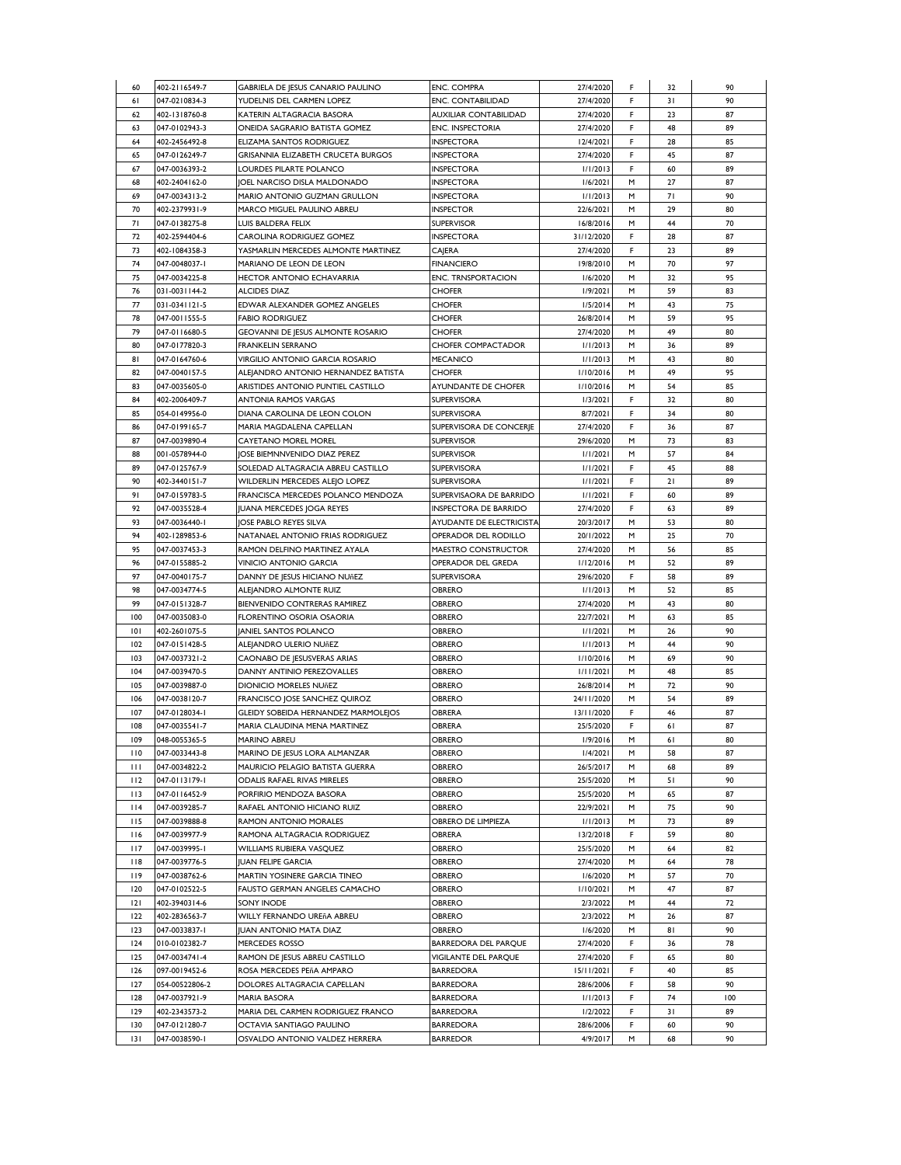| 60           | 402-2116549-7  | GABRIELA DE JESUS CANARIO PAULINO          | <b>ENC. COMPRA</b>           | 27/4/2020  | F  | 32 | 90  |
|--------------|----------------|--------------------------------------------|------------------------------|------------|----|----|-----|
| 61           | 047-0210834-3  | YUDELNIS DEL CARMEN LOPEZ                  | ENC. CONTABILIDAD            | 27/4/2020  | F  | 31 | 90  |
| 62           | 402-1318760-8  | KATERIN ALTAGRACIA BASORA                  | AUXILIAR CONTABILIDAD        | 27/4/2020  | F  | 23 | 87  |
| 63           | 047-0102943-3  | ONEIDA SAGRARIO BATISTA GOMEZ              | <b>ENC. INSPECTORIA</b>      | 27/4/2020  | F  | 48 | 89  |
| 64           | 402-2456492-8  | ELIZAMA SANTOS RODRIGUEZ                   | <b>INSPECTORA</b>            | 12/4/2021  | F  | 28 | 85  |
|              |                |                                            | <b>INSPECTORA</b>            | 27/4/2020  | F  |    | 87  |
| 65           | 047-0126249-7  | GRISANNIA ELIZABETH CRUCETA BURGOS         |                              |            |    | 45 |     |
| 67           | 047-0036393-2  | LOURDES PILARTE POLANCO                    | <b>INSPECTORA</b>            | 1/1/2013   | F  | 60 | 89  |
| 68           | 402-2404162-0  | JOEL NARCISO DISLA MALDONADO               | <b>INSPECTORA</b>            | 1/6/2021   | м  | 27 | 87  |
| 69           | 047-0034313-2  | MARIO ANTONIO GUZMAN GRULLON               | <b>INSPECTORA</b>            | 1/1/2013   | M  | 71 | 90  |
| 70           | 402-2379931-9  | MARCO MIGUEL PAULINO ABREU                 | <b>INSPECTOR</b>             | 22/6/2021  | M  | 29 | 80  |
| 71           | 047-0138275-8  | LUIS BALDERA FELIX                         | <b>SUPERVISOR</b>            | 16/8/2016  | M  | 44 | 70  |
| 72           | 402-2594404-6  | CAROLINA RODRIGUEZ GOMEZ                   | <b>INSPECTORA</b>            | 31/12/2020 | F. | 28 | 87  |
| 73           | 402-1084358-3  | YASMARLIN MERCEDES ALMONTE MARTINEZ        | CAJERA                       | 27/4/2020  | F. | 23 | 89  |
| 74           | 047-0048037-1  | MARIANO DE LEON DE LEON                    | <b>FINANCIERO</b>            | 19/8/2010  | M  | 70 | 97  |
|              | 047-0034225-8  |                                            |                              |            | M  |    |     |
| 75           |                | <b>HECTOR ANTONIO ECHAVARRIA</b>           | <b>ENC. TRNSPORTACION</b>    | 1/6/2020   |    | 32 | 95  |
| 76           | 031-0031144-2  | <b>ALCIDES DIAZ</b>                        | <b>CHOFER</b>                | 1/9/2021   | M  | 59 | 83  |
| 77           | 031-0341121-5  | EDWAR ALEXANDER GOMEZ ANGELES              | <b>CHOFER</b>                | 1/5/2014   | М  | 43 | 75  |
| 78           | 047-0011555-5  | <b>FABIO RODRIGUEZ</b>                     | <b>CHOFER</b>                | 26/8/2014  | м  | 59 | 95  |
| 79           | 047-0116680-5  | GEOVANNI DE JESUS ALMONTE ROSARIO          | <b>CHOFER</b>                | 27/4/2020  | м  | 49 | 80  |
| 80           | 047-0177820-3  | FRANKELIN SERRANO                          | <b>CHOFER COMPACTADOR</b>    | 1/1/2013   | M  | 36 | 89  |
| 81           | 047-0164760-6  | VIRGILIO ANTONIO GARCIA ROSARIO            | <b>MECANICO</b>              | 1/1/2013   | M  | 43 | 80  |
| 82           | 047-0040157-5  | ALEJANDRO ANTONIO HERNANDEZ BATISTA        | <b>CHOFER</b>                | 1/10/2016  | M  | 49 | 95  |
| 83           | 047-0035605-0  | ARISTIDES ANTONIO PUNTIEL CASTILLO         | AYUNDANTE DE CHOFER          | 1/10/2016  | M  | 54 | 85  |
| 84           | 402-2006409-7  | <b>ANTONIA RAMOS VARGAS</b>                | <b>SUPERVISORA</b>           | 1/3/2021   | F  | 32 | 80  |
|              |                |                                            |                              |            |    |    |     |
| 85           | 054-0149956-0  | DIANA CAROLINA DE LEON COLON               | SUPERVISORA                  | 8/7/2021   | F. | 34 | 80  |
| 86           | 047-0199165-7  | MARIA MAGDALENA CAPELLAN                   | SUPERVISORA DE CONCERJE      | 27/4/2020  | F  | 36 | 87  |
| 87           | 047-0039890-4  | <b>CAYETANO MOREL MOREL</b>                | <b>SUPERVISOR</b>            | 29/6/2020  | M  | 73 | 83  |
| 88           | 001-0578944-0  | <b>JOSE BIEMNNVENIDO DIAZ PEREZ</b>        | <b>SUPERVISOR</b>            | 1/1/2021   | M  | 57 | 84  |
| 89           | 047-0125767-9  | SOLEDAD ALTAGRACIA ABREU CASTILLO          | <b>SUPERVISORA</b>           | 1/1/2021   | F. | 45 | 88  |
| 90           | 402-3440151-7  | <b>WILDERLIN MERCEDES ALEJO LOPEZ</b>      | <b>SUPERVISORA</b>           | 1/1/2021   | F  | 21 | 89  |
| 91           | 047-0159783-5  | FRANCISCA MERCEDES POLANCO MENDOZA         | SUPERVISAORA DE BARRIDO      | 1/1/2021   | F  | 60 | 89  |
| 92           | 047-0035528-4  | JUANA MERCEDES JOGA REYES                  | <b>INSPECTORA DE BARRIDO</b> | 27/4/2020  | F. | 63 | 89  |
| 93           | 047-0036440-1  | JOSE PABLO REYES SILVA                     | AYUDANTE DE ELECTRICISTA     | 20/3/2017  | M  | 53 | 80  |
|              |                |                                            |                              |            |    |    |     |
| 94           | 402-1289853-6  | NATANAEL ANTONIO FRIAS RODRIGUEZ           | OPERADOR DEL RODILLO         | 20/1/2022  | M  | 25 | 70  |
| 95           | 047-0037453-3  | RAMON DELFINO MARTINEZ AYALA               | MAESTRO CONSTRUCTOR          | 27/4/2020  | M  | 56 | 85  |
| 96           | 047-0155885-2  | VINICIO ANTONIO GARCIA                     | OPERADOR DEL GREDA           | 1/12/2016  | M  | 52 | 89  |
| 97           | 047-0040175-7  | DANNY DE JESUS HICIANO NUñEZ               | <b>SUPERVISORA</b>           | 29/6/2020  | F. | 58 | 89  |
| 98           | 047-0034774-5  | ALEJANDRO ALMONTE RUIZ                     | <b>OBRERO</b>                | 1/1/2013   | M  | 52 | 85  |
| 99           | 047-0151328-7  | BIENVENIDO CONTRERAS RAMIREZ               | OBRERO                       | 27/4/2020  | M  | 43 | 80  |
| 100          | 047-0035083-0  | FLORENTINO OSORIA OSAORIA                  | OBRERO                       | 22/7/2021  | M  | 63 | 85  |
| 101          | 402-2601075-5  | <b>JANIEL SANTOS POLANCO</b>               | <b>OBRERO</b>                | 1/1/2021   | M  | 26 | 90  |
| 102          | 047-0151428-5  | ALEJANDRO ULERIO NUñEZ                     | OBRERO                       | 1/1/2013   | M  | 44 | 90  |
| 103          | 047-0037321-2  |                                            | <b>OBRERO</b>                | 1/10/2016  |    | 69 | 90  |
|              |                | CAONABO DE JESUSVERAS ARIAS                |                              |            | м  |    |     |
| 104          | 047-0039470-5  | DANNY ANTINIO PEREZOVALLES                 | <b>OBRERO</b>                | 1/11/2021  | M  | 48 | 85  |
| 105          | 047-0039887-0  | <b>DIONICIO MORELES NUñEZ</b>              | OBRERO                       | 26/8/2014  | M  | 72 | 90  |
| 106          | 047-0038120-7  | FRANCISCO JOSE SANCHEZ QUIROZ              | OBRERO                       | 24/11/2020 | м  | 54 | 89  |
| 107          | 047-0128034-1  | <b>GLEIDY SOBEIDA HERNANDEZ MARMOLEJOS</b> | <b>OBRERA</b>                | 13/11/2020 | F. | 46 | 87  |
| 108          | 047-0035541-7  | MARIA CLAUDINA MENA MARTINEZ               | <b>OBRERA</b>                | 25/5/2020  | F  | 61 | 87  |
| 109          | 048-0055365-5  | <b>MARINO ABREU</b>                        | <b>OBRERO</b>                | 1/9/2016   | M  | 61 | 80  |
| 110          | 047-0033443-8  | MARINO DE JESUS LORA ALMANZAR              | OBRERO                       | 1/4/2021   | M  | 58 | 87  |
| $\mathbf{H}$ | 047-0034822-2  | MAURICIO PELAGIO BATISTA GUERRA            | OBRERO                       | 26/5/2017  | M  | 68 | 89  |
| 112          | 047-0113179-1  | <b>ODALIS RAFAEL RIVAS MIRELES</b>         | OBRERO                       | 25/5/2020  | M  | 51 | 90  |
|              |                | PORFIRIO MENDOZA BASORA                    |                              |            |    |    | 87  |
| 113          | 047-0116452-9  |                                            | OBRERO                       | 25/5/2020  | M  | 65 |     |
| $ $  4       | 047-0039285-7  | RAFAEL ANTONIO HICIANO RUIZ                | OBRERO                       | 22/9/2021  | м  | 75 | 90  |
| 115          | 047-0039888-8  | RAMON ANTONIO MORALES                      | OBRERO DE LIMPIEZA           | 1/1/2013   | м  | 73 | 89  |
| 116          | 047-0039977-9  | RAMONA ALTAGRACIA RODRIGUEZ                | OBRERA                       | 13/2/2018  | F  | 59 | 80  |
| 117          | 047-0039995-1  | WILLIAMS RUBIERA VASQUEZ                   | OBRERO                       | 25/5/2020  | м  | 64 | 82  |
| 118          | 047-0039776-5  | <b>JUAN FELIPE GARCIA</b>                  | OBRERO                       | 27/4/2020  | м  | 64 | 78  |
| 119          | 047-0038762-6  | MARTIN YOSINERE GARCIA TINEO               | OBRERO                       | 1/6/2020   | M  | 57 | 70  |
| 120          | 047-0102522-5  | FAUSTO GERMAN ANGELES CAMACHO              | <b>OBRERO</b>                | 1/10/2021  | M  | 47 | 87  |
| 2            | 402-3940314-6  | SONY INODE                                 | <b>OBRERO</b>                | 2/3/2022   | M  | 44 | 72  |
|              |                |                                            |                              |            |    |    |     |
| 122          | 402-2836563-7  | WILLY FERNANDO UREñA ABREU                 | OBRERO                       | 2/3/2022   | M  | 26 | 87  |
| 123          | 047-0033837-1  | <b>JUAN ANTONIO MATA DIAZ</b>              | <b>OBRERO</b>                | 1/6/2020   | M  | 81 | 90  |
| 124          | 010-0102382-7  | MERCEDES ROSSO                             | BARREDORA DEL PARQUE         | 27/4/2020  | F  | 36 | 78  |
| 125          | 047-0034741-4  | RAMON DE JESUS ABREU CASTILLO              | VIGILANTE DEL PARQUE         | 27/4/2020  | F  | 65 | 80  |
| 126          | 097-0019452-6  | ROSA MERCEDES PEñA AMPARO                  | <b>BARREDORA</b>             | 15/11/2021 | F. | 40 | 85  |
| 127          | 054-00522806-2 | DOLORES ALTAGRACIA CAPELLAN                | <b>BARREDORA</b>             | 28/6/2006  | F  | 58 | 90  |
| 128          | 047-0037921-9  | <b>MARIA BASORA</b>                        | <b>BARREDORA</b>             | 1/1/2013   | F  | 74 | 100 |
| 129          | 402-2343573-2  | MARIA DEL CARMEN RODRIGUEZ FRANCO          | <b>BARREDORA</b>             | 1/2/2022   | F  | 31 | 89  |
|              |                |                                            |                              |            |    |    |     |
| 130          | 047-0121280-7  | OCTAVIA SANTIAGO PAULINO                   | <b>BARREDORA</b>             | 28/6/2006  | F. | 60 | 90  |
| 131          | 047-0038590-1  | OSVALDO ANTONIO VALDEZ HERRERA             | <b>BARREDOR</b>              | 4/9/2017   | м  | 68 | 90  |